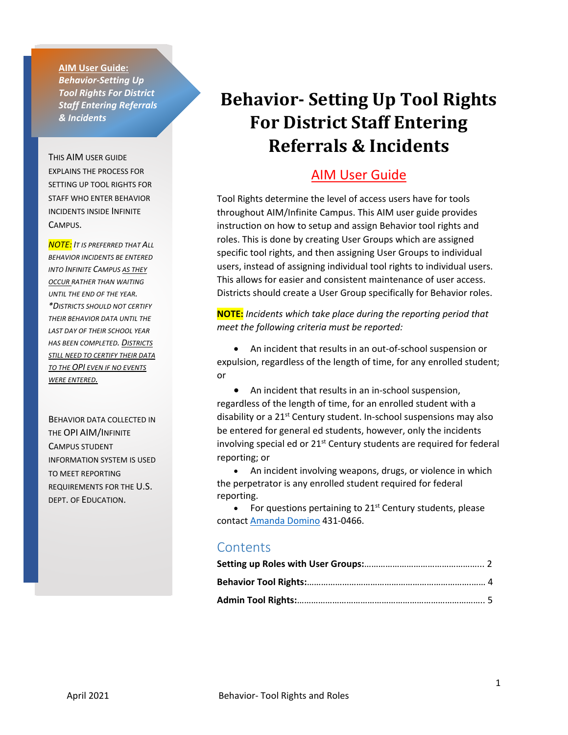**AIM User Guide:** *Behavior-Setting Up Tool Rights For District Staff Entering Referrals & Incidents*

THIS AIM USER GUIDE EXPLAINS THE PROCESS FOR SETTING UP TOOL RIGHTS FOR STAFF WHO ENTER BEHAVIOR INCIDENTS INSIDE INFINITE CAMPUS.

*NOTE: IT IS PREFERRED THAT ALL BEHAVIOR INCIDENTS BE ENTERED INTO INFINITE CAMPUS AS THEY OCCUR RATHER THAN WAITING UNTIL THE END OF THE YEAR. \*DISTRICTS SHOULD NOT CERTIFY THEIR BEHAVIOR DATA UNTIL THE LAST DAY OF THEIR SCHOOL YEAR HAS BEEN COMPLETED. DISTRICTS STILL NEED TO CERTIFY THEIR DATA TO THE OPI EVEN IF NO EVENTS WERE ENTERED.*

BEHAVIOR DATA COLLECTED IN THE OPI AIM/INFINITE CAMPUS STUDENT INFORMATION SYSTEM IS USED TO MEET REPORTING REQUIREMENTS FOR THE U.S. DEPT. OF EDUCATION.

# **Behavior- Setting Up Tool Rights For District Staff Entering Referrals & Incidents**

#### AIM User Guide

Tool Rights determine the level of access users have for tools throughout AIM/Infinite Campus. This AIM user guide provides instruction on how to setup and assign Behavior tool rights and roles. This is done by creating User Groups which are assigned specific tool rights, and then assigning User Groups to individual users, instead of assigning individual tool rights to individual users. This allows for easier and consistent maintenance of user access. Districts should create a User Group specifically for Behavior roles.

**NOTE:** *Incidents which take place during the reporting period that meet the following criteria must be reported:*

• An incident that results in an out-of-school suspension or expulsion, regardless of the length of time, for any enrolled student; or

• An incident that results in an in-school suspension, regardless of the length of time, for an enrolled student with a disability or a 21<sup>st</sup> Century student. In-school suspensions may also be entered for general ed students, however, only the incidents involving special ed or 21<sup>st</sup> Century students are required for federal reporting; or

• An incident involving weapons, drugs, or violence in which the perpetrator is any enrolled student required for federal reporting.

For questions pertaining to  $21<sup>st</sup>$  Century students, please contact Amand[a Domino](mailto:ADomino@mt.gov) 431-0466.

#### **Contents**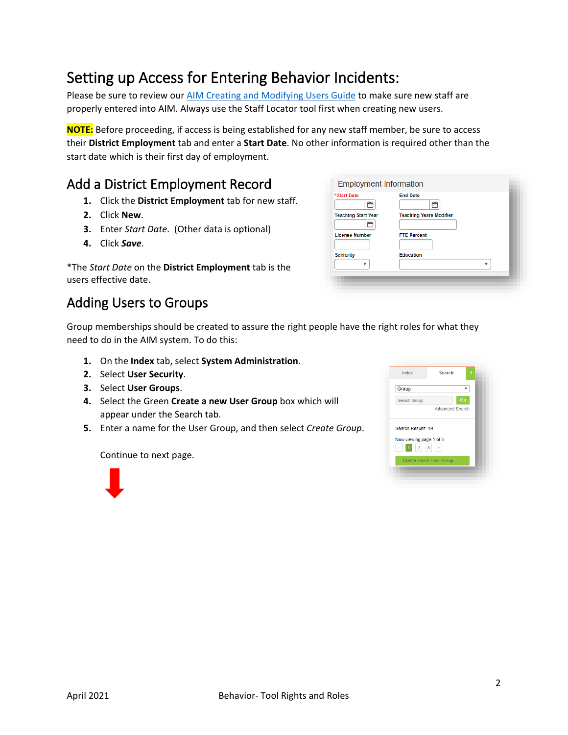# <span id="page-1-0"></span>Setting up Access for Entering Behavior Incidents:

Please be sure to review our [AIM Creating and Modifying Users Guide](http://opi.mt.gov/Portals/182/Page%20Files/AIM/2%20AIM%20USER%20GUIDES/User%20Guides%20by%20Topic/Users/Creating%20and%20Modifying%20Users.pdf?ver=2020-04-15-074457-407) to make sure new staff are properly entered into AIM. Always use the Staff Locator tool first when creating new users.

**NOTE:** Before proceeding, if access is being established for any new staff member, be sure to access their **District Employment** tab and enter a **Start Date**. No other information is required other than the start date which is their first day of employment.

### Add a District Employment Record

- **1.** Click the **District Employment** tab for new staff.
- **2.** Click **New**.
- **3.** Enter *Start Date*. (Other data is optional)
- **4.** Click *Save*.

| *The Start Date on the District Employment tab is the |  |
|-------------------------------------------------------|--|
| users effective date.                                 |  |

### Adding Users to Groups

ö 首 **Teaching Start Year Teaching Years Modifie** ö **FTE Percent License Number** Education Seniority  $\bar{\mathbf{v}}$ v

**End Date** 

**Employment Information** 

**Start Date** 

Group memberships should be created to assure the right people have the right roles for what they need to do in the AIM system. To do this:

- **1.** On the **Index** tab, select **System Administration**.
- **2.** Select **User Security**.
- **3.** Select **User Groups**.
- **4.** Select the Green **Create a new User Group** box which will appear under the Search tab.
- **5.** Enter a name for the User Group, and then select *Create Group*.

Continue to next page.



| Index                                                                | Search                  | c  |
|----------------------------------------------------------------------|-------------------------|----|
| Group                                                                |                         |    |
| Search Group                                                         |                         | Go |
|                                                                      | <b>Advanced Search</b>  |    |
| Search Results: 49<br>Now viewing page 1 of 3<br>$\leq$ 1 2 3 $\geq$ |                         |    |
|                                                                      |                         |    |
|                                                                      | Create a new User Group |    |
|                                                                      |                         |    |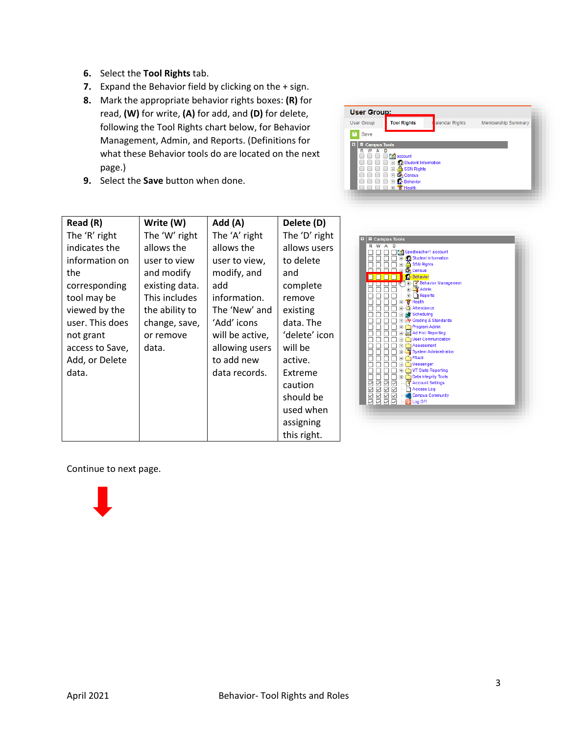- **6.** Select the **Tool Rights** tab.
- **7.** Expand the Behavior field by clicking on the + sign.
- **8.** Mark the appropriate behavior rights boxes: **(R)** for read, **(W)** for write, **(A)** for add, and **(D)** for delete, following the Tool Rights chart below, for Behavior Management, Admin, and Reports. (Definitions for what these Behavior tools do are located on the next page.)
- **9.** Select the **Save** button when done.



| Read (R)        | Write (W)      | Add (A)         | Delete (D)    |                                                                                                   |
|-----------------|----------------|-----------------|---------------|---------------------------------------------------------------------------------------------------|
| The 'R' right   | The 'W' right  | The 'A' right   | The 'D' right | Campus Tools                                                                                      |
| indicates the   | allows the     | allows the      | allows users  | R W A D<br>Spedteacher1 account<br>ПГ<br>$\mathbb{C}$                                             |
| information on  | user to view   | user to view,   | to delete     | <b>Student Information</b><br>÷<br>а<br><b>SSN Rights</b>                                         |
| the             | and modify     | modify, and     | and           | <b>Census</b><br>r.<br>Behavior                                                                   |
| corresponding   | existing data. | add             | complete      | 「旧山本 Behavior Management<br><b>Admin</b>                                                          |
| tool may be     | This includes  | information.    | remove        | <b>E</b> - Reports<br>'Health                                                                     |
| viewed by the   | the ability to | The 'New' and   | existing      | Attendance<br><b>All'</b> Scheduling                                                              |
| user. This does | change, save,  | 'Add' icons     | data. The     | -TA+ Grading & Standards<br><b>Program Admin</b><br>$\overline{+}$                                |
| not grant       | or remove      | will be active, | 'delete' icon | Ad Hoc Reporting<br><b>Nulla</b> User Communication                                               |
| access to Save, | data.          | allowing users  | will be       | Assessment<br>Ė<br>System Administration<br>Ė                                                     |
| Add, or Delete  |                | to add new      | active.       | Ė<br>FRAM<br>Messenger<br>Ŧ                                                                       |
| data.           |                | data records.   | Extreme       | MT State Reporting<br>Ŧ<br>Data Integrity Tools<br>÷                                              |
|                 |                |                 | caution       | <b>RISISI</b><br>RISISI<br>RISISI<br><b>Account Settings</b><br>✓<br>$\checkmark$<br>1 Access Log |
|                 |                |                 | should be     | 8888<br>8888<br><b>Campus Community</b><br>O Log Off                                              |
|                 |                |                 | used when     |                                                                                                   |
|                 |                |                 | assigning     |                                                                                                   |
|                 |                |                 | this right.   |                                                                                                   |

Continue to next page.

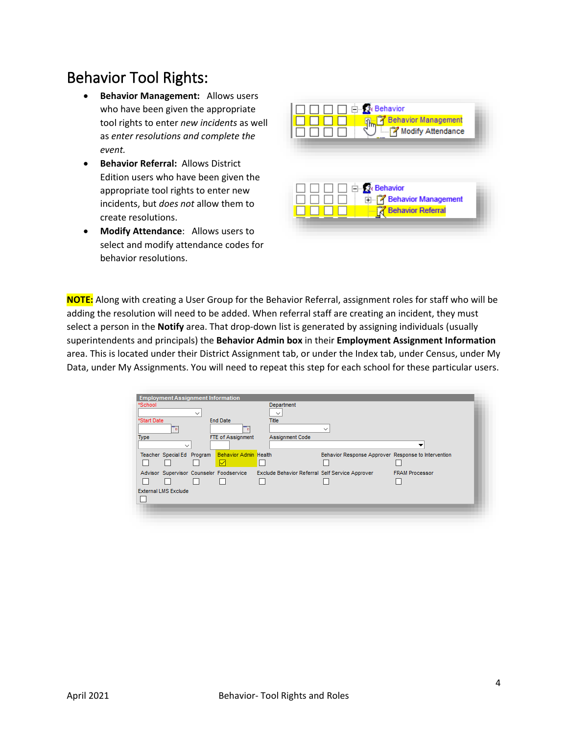## <span id="page-3-0"></span>Behavior Tool Rights:

- **Behavior Management:** Allows users who have been given the appropriate tool rights to enter *new incidents* as well as *enter resolutions and complete the event.*
- **Behavior Referral:** Allows District Edition users who have been given the appropriate tool rights to enter new incidents, but *does not* allow them to create resolutions.
- **Modify Attendance**: Allows users to select and modify attendance codes for behavior resolutions.



**NOTE:** Along with creating a User Group for the Behavior Referral, assignment roles for staff who will be adding the resolution will need to be added. When referral staff are creating an incident, they must select a person in the **Notify** area. That drop-down list is generated by assigning individuals (usually superintendents and principals) the **Behavior Admin box** in their **Employment Assignment Information**  area. This is located under their District Assignment tab, or under the Index tab, under Census, under My Data, under My Assignments. You will need to repeat this step for each school for these particular users.

| <b>Employment Assignment Information</b>   |                              |                                                 |                                                     |                       |  |
|--------------------------------------------|------------------------------|-------------------------------------------------|-----------------------------------------------------|-----------------------|--|
| *School                                    |                              | Department                                      |                                                     |                       |  |
| $\checkmark$<br>*Start Date                | <b>End Date</b>              | $\checkmark$<br><b>Title</b>                    |                                                     |                       |  |
|                                            | ٠                            |                                                 | $\checkmark$                                        |                       |  |
| <b>Type</b>                                | FTE of Assignment            | <b>Assignment Code</b>                          |                                                     |                       |  |
| $\checkmark$<br>Teacher Special Ed Program | <b>Behavior Admin Health</b> |                                                 | Behavior Response Approver Response to Intervention |                       |  |
|                                            |                              |                                                 |                                                     |                       |  |
| Advisor Supervisor Counselor Foodservice   |                              | Exclude Behavior Referral Self Service Approver |                                                     | <b>FRAM Processor</b> |  |
|                                            |                              |                                                 |                                                     |                       |  |
| <b>External LMS Exclude</b>                |                              |                                                 |                                                     |                       |  |
|                                            |                              |                                                 |                                                     |                       |  |
|                                            |                              |                                                 |                                                     |                       |  |